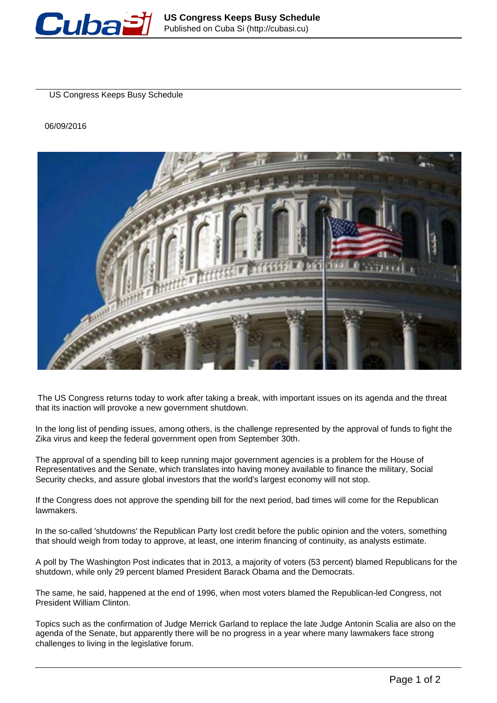

US Congress Keeps Busy Schedule

06/09/2016



 The US Congress returns today to work after taking a break, with important issues on its agenda and the threat that its inaction will provoke a new government shutdown.

In the long list of pending issues, among others, is the challenge represented by the approval of funds to fight the Zika virus and keep the federal government open from September 30th.

The approval of a spending bill to keep running major government agencies is a problem for the House of Representatives and the Senate, which translates into having money available to finance the military, Social Security checks, and assure global investors that the world's largest economy will not stop.

If the Congress does not approve the spending bill for the next period, bad times will come for the Republican lawmakers.

In the so-called 'shutdowns' the Republican Party lost credit before the public opinion and the voters, something that should weigh from today to approve, at least, one interim financing of continuity, as analysts estimate.

A poll by The Washington Post indicates that in 2013, a majority of voters (53 percent) blamed Republicans for the shutdown, while only 29 percent blamed President Barack Obama and the Democrats.

The same, he said, happened at the end of 1996, when most voters blamed the Republican-led Congress, not President William Clinton.

Topics such as the confirmation of Judge Merrick Garland to replace the late Judge Antonin Scalia are also on the agenda of the Senate, but apparently there will be no progress in a year where many lawmakers face strong challenges to living in the legislative forum.